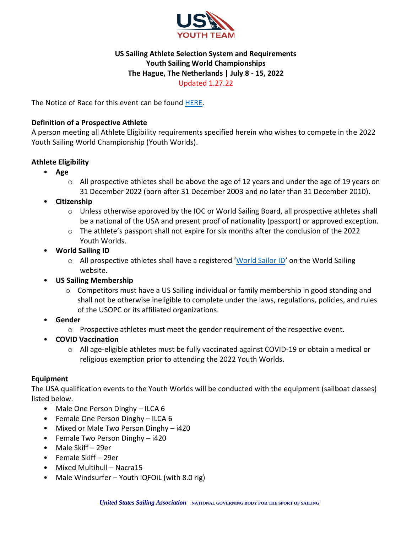

# **US Sailing Athlete Selection System and Requirements Youth Sailing World Championships The Hague, The Netherlands | July 8 - 15, 2022** Updated 1.27.22

The Notice of Race for this event can be found **HERE**.

## **Definition of a Prospective Athlete**

A person meeting all Athlete Eligibility requirements specified herein who wishes to compete in the 2022 Youth Sailing World Championship (Youth Worlds).

# **Athlete Eligibility**

- **Age**
	- $\circ$  All prospective athletes shall be above the age of 12 years and under the age of 19 years on 31 December 2022 (born after 31 December 2003 and no later than 31 December 2010).
- **Citizenship**
	- o Unless otherwise approved by the IOC or World Sailing Board, all prospective athletes shall be a national of the USA and present proof of nationality (passport) or approved exception.
	- $\circ$  The athlete's passport shall not expire for six months after the conclusion of the 2022 Youth Worlds.
- **World Sailing ID**
	- o All prospective athletes shall have a registered 'World [Sailor ID](https://www.sailing.org/isafsailor)' on the World Sailing website.
- **US Sailing Membership**
	- $\circ$  Competitors must have a US Sailing individual or family membership in good standing and shall not be otherwise ineligible to complete under the laws, regulations, policies, and rules of the USOPC or its affiliated organizations.
- **Gender**
	- o Prospective athletes must meet the gender requirement of the respective event.
- **COVID Vaccination**
	- o All age-eligible athletes must be fully vaccinated against COVID-19 or obtain a medical or religious exemption prior to attending the 2022 Youth Worlds.

## **Equipment**

The USA qualification events to the Youth Worlds will be conducted with the equipment (sailboat classes) listed below.

- Male One Person Dinghy ILCA 6
- Female One Person Dinghy ILCA 6
- Mixed or Male Two Person Dinghy i420
- Female Two Person Dinghy i420
- Male Skiff 29er
- Female Skiff 29er
- Mixed Multihull Nacra15
- Male Windsurfer Youth iQFOiL (with 8.0 rig)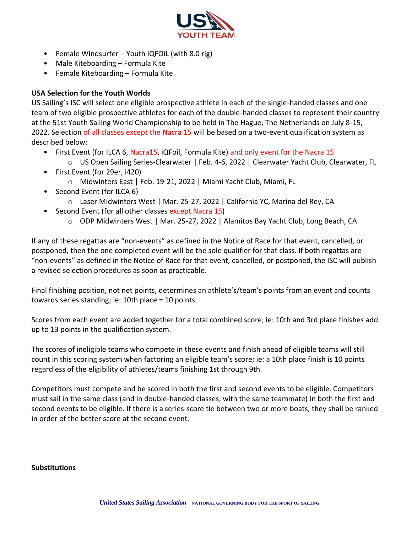

- Female Windsurfer Youth iQFOiL (with 8.0 rig)
- Male Kiteboarding Formula Kite
- Female Kiteboarding Formula Kite

# **USA Selection for the Youth Worlds**

US Sailing's ISC will select one eligible prospective athlete in each of the single-handed classes and one team of two eligible prospective athletes for each of the double-handed classes to represent their country at the 51st Youth Sailing World Championship to be held in The Hague, The Netherlands on July 8-15, 2022. Selection of all classes except the Nacra 15 will be based on a two-event qualification system as described below:

- First Event (for ILCA 6, Nacra15, iQFoil, Formula Kite) and only event for the Nacra 15
	- o US Open Sailing Series-Clearwater | Feb. 4-6, 2022 | Clearwater Yacht Club, Clearwater, FL
- First Event (for 29er, i420)
	- o Midwinters East | Feb. 19-21, 2022 | Miami Yacht Club, Miami, FL
- Second Event (for ILCA 6)
	- o Laser Midwinters West | Mar. 25-27, 2022 | California YC, Marina del Rey, CA
- Second Event (for all other classes except Nacra 15)
	- o ODP Midwinters West | Mar. 25-27, 2022 | Alamitos Bay Yacht Club, Long Beach, CA

If any of these regattas are "non-events" as defined in the Notice of Race for that event, cancelled, or postponed, then the one completed event will be the sole qualifier for that class. If both regattas are "non-events" as defined in the Notice of Race for that event, cancelled, or postponed, the ISC will publish a revised selection procedures as soon as practicable.

Final finishing position, not net points, determines an athlete's/team's points from an event and counts towards series standing; ie: 10th place = 10 points.

Scores from each event are added together for a total combined score; ie: 10th and 3rd place finishes add up to 13 points in the qualification system.

The scores of ineligible teams who compete in these events and finish ahead of eligible teams will still count in this scoring system when factoring an eligible team's score; ie: a 10th place finish is 10 points regardless of the eligibility of athletes/teams finishing 1st through 9th.

Competitors must compete and be scored in both the first and second events to be eligible. Competitors must sail in the same class (and in double-handed classes, with the same teammate) in both the first and second events to be eligible. If there is a series-score tie between two or more boats, they shall be ranked in order of the better score at the second event.

## **Substitutions**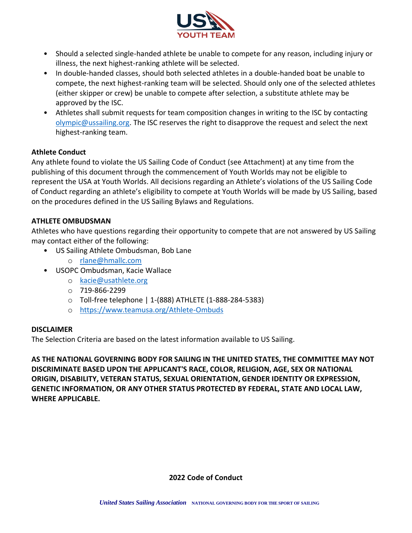

- Should a selected single-handed athlete be unable to compete for any reason, including injury or illness, the next highest-ranking athlete will be selected.
- In double-handed classes, should both selected athletes in a double-handed boat be unable to compete, the next highest-ranking team will be selected. Should only one of the selected athletes (either skipper or crew) be unable to compete after selection, a substitute athlete may be approved by the ISC.
- Athletes shall submit requests for team composition changes in writing to the ISC by contacting [olympic@ussailing.org.](mailto:olympic@ussailing.org) The ISC reserves the right to disapprove the request and select the next highest-ranking team.

## **Athlete Conduct**

Any athlete found to violate the US Sailing Code of Conduct (see Attachment) at any time from the publishing of this document through the commencement of Youth Worlds may not be eligible to represent the USA at Youth Worlds. All decisions regarding an Athlete's violations of the US Sailing Code of Conduct regarding an athlete's eligibility to compete at Youth Worlds will be made by US Sailing, based on the procedures defined in the US Sailing Bylaws and Regulations.

## **ATHLETE OMBUDSMAN**

Athletes who have questions regarding their opportunity to compete that are not answered by US Sailing may contact either of the following:

- US Sailing Athlete Ombudsman, Bob Lane
	- o [rlane@hmallc.com](mailto:rlane@hmallc.com)
- USOPC Ombudsman, Kacie Wallace
	- o [kacie@usathlete.org](mailto:kacie@usathlete.org)
	- o 719-866-2299
	- o Toll-free telephone | 1-(888) ATHLETE (1-888-284-5383)
	- o <https://www.teamusa.org/Athlete-Ombuds>

## **DISCLAIMER**

The Selection Criteria are based on the latest information available to US Sailing.

**AS THE NATIONAL GOVERNING BODY FOR SAILING IN THE UNITED STATES, THE COMMITTEE MAY NOT DISCRIMINATE BASED UPON THE APPLICANT'S RACE, COLOR, RELIGION, AGE, SEX OR NATIONAL ORIGIN, DISABILITY, VETERAN STATUS, SEXUAL ORIENTATION, GENDER IDENTITY OR EXPRESSION, GENETIC INFORMATION, OR ANY OTHER STATUS PROTECTED BY FEDERAL, STATE AND LOCAL LAW, WHERE APPLICABLE.**

## **2022 Code of Conduct**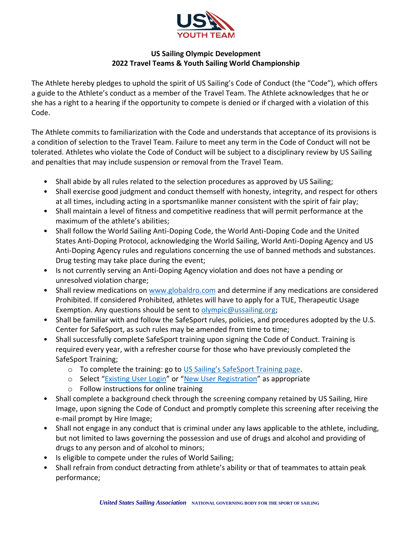

# **US Sailing Olympic Development 2022 Travel Teams & Youth Sailing World Championship**

The Athlete hereby pledges to uphold the spirit of US Sailing's Code of Conduct (the "Code"), which offers a guide to the Athlete's conduct as a member of the Travel Team. The Athlete acknowledges that he or she has a right to a hearing if the opportunity to compete is denied or if charged with a violation of this Code.

The Athlete commits to familiarization with the Code and understands that acceptance of its provisions is a condition of selection to the Travel Team. Failure to meet any term in the Code of Conduct will not be tolerated. Athletes who violate the Code of Conduct will be subject to a disciplinary review by US Sailing and penalties that may include suspension or removal from the Travel Team.

- Shall abide by all rules related to the selection procedures as approved by US Sailing;
- Shall exercise good judgment and conduct themself with honesty, integrity, and respect for others at all times, including acting in a sportsmanlike manner consistent with the spirit of fair play;
- Shall maintain a level of fitness and competitive readiness that will permit performance at the maximum of the athlete's abilities;
- Shall follow the World Sailing Anti-Doping Code, the World Anti-Doping Code and the United States Anti-Doping Protocol, acknowledging the World Sailing, World Anti-Doping Agency and US Anti-Doping Agency rules and regulations concerning the use of banned methods and substances. Drug testing may take place during the event;
- Is not currently serving an Anti-Doping Agency violation and does not have a pending or unresolved violation charge;
- Shall review medications on [www.globaldro.com](http://www.globaldro.com/) and determine if any medications are considered Prohibited. If considered Prohibited, athletes will have to apply for a TUE, Therapeutic Usage Exemption. Any questions should be sent to [olympic@ussailing.org;](mailto:olympic@ussailing.org)
- Shall be familiar with and follow the SafeSport rules, policies, and procedures adopted by the U.S. Center for SafeSport, as such rules may be amended from time to time;
- Shall successfully complete SafeSport training upon signing the Code of Conduct. Training is required every year, with a refresher course for those who have previously completed the SafeSport Training;
	- o To complete the training: go to [US Sailing's SafeSport Training page](https://www.ussailing.org/competition/resources/safesport-us-sailing/#4).
	- o Select "[Existing User Login](https://safesporttrained.org/#/public-dashboard)" or "[New User Registration](https://safesporttrained.org/#/signup-form)" as appropriate
	- o Follow instructions for online training
- Shall complete a background check through the screening company retained by US Sailing, Hire Image, upon signing the Code of Conduct and promptly complete this screening after receiving the e-mail prompt by Hire Image;
- Shall not engage in any conduct that is criminal under any laws applicable to the athlete, including, but not limited to laws governing the possession and use of drugs and alcohol and providing of drugs to any person and of alcohol to minors;
- Is eligible to compete under the rules of World Sailing;
- Shall refrain from conduct detracting from athlete's ability or that of teammates to attain peak performance;